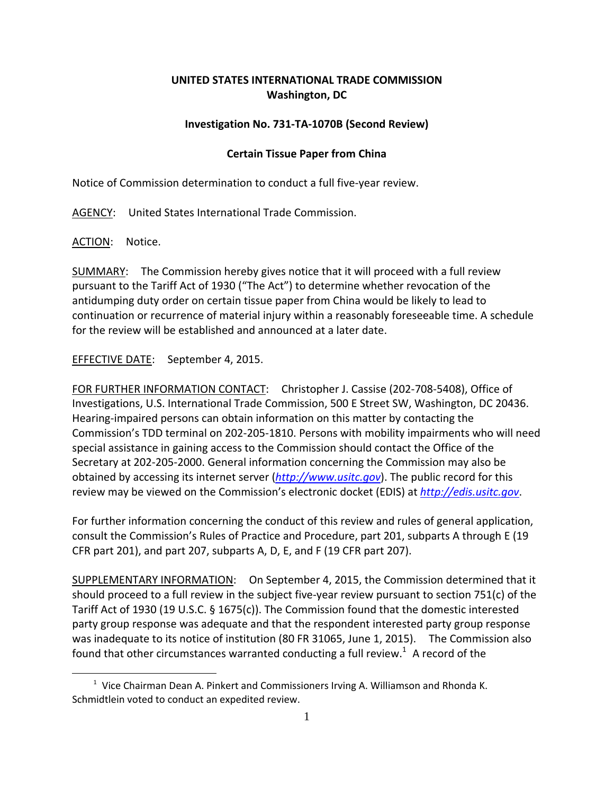## **UNITED STATES INTERNATIONAL TRADE COMMISSION Washington, DC**

## **Investigation No. 731‐TA‐1070B (Second Review)**

## **Certain Tissue Paper from China**

Notice of Commission determination to conduct a full five‐year review.

AGENCY: United States International Trade Commission.

ACTION: Notice.

1

SUMMARY: The Commission hereby gives notice that it will proceed with a full review pursuant to the Tariff Act of 1930 ("The Act") to determine whether revocation of the antidumping duty order on certain tissue paper from China would be likely to lead to continuation or recurrence of material injury within a reasonably foreseeable time. A schedule for the review will be established and announced at a later date.

EFFECTIVE DATE: September 4, 2015.

FOR FURTHER INFORMATION CONTACT: Christopher J. Cassise (202‐708‐5408), Office of Investigations, U.S. International Trade Commission, 500 E Street SW, Washington, DC 20436. Hearing‐impaired persons can obtain information on this matter by contacting the Commission's TDD terminal on 202‐205‐1810. Persons with mobility impairments who will need special assistance in gaining access to the Commission should contact the Office of the Secretary at 202‐205‐2000. General information concerning the Commission may also be obtained by accessing its internet server (*http://www.usitc.gov*). The public record for this review may be viewed on the Commission's electronic docket (EDIS) at *http://edis.usitc.gov*.

For further information concerning the conduct of this review and rules of general application, consult the Commission's Rules of Practice and Procedure, part 201, subparts A through E (19 CFR part 201), and part 207, subparts A, D, E, and F (19 CFR part 207).

SUPPLEMENTARY INFORMATION: On September 4, 2015, the Commission determined that it should proceed to a full review in the subject five‐year review pursuant to section 751(c) of the Tariff Act of 1930 (19 U.S.C. § 1675(c)). The Commission found that the domestic interested party group response was adequate and that the respondent interested party group response was inadequate to its notice of institution (80 FR 31065, June 1, 2015). The Commission also found that other circumstances warranted conducting a full review.<sup>1</sup> A record of the

 $1$  Vice Chairman Dean A. Pinkert and Commissioners Irving A. Williamson and Rhonda K. Schmidtlein voted to conduct an expedited review.